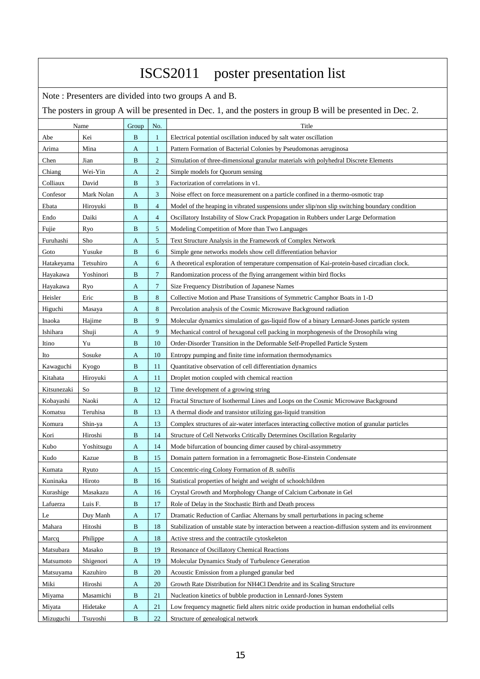| ISCS2011 poster presentation list                                                                           |            |              |                |                                                                                                        |  |  |  |  |
|-------------------------------------------------------------------------------------------------------------|------------|--------------|----------------|--------------------------------------------------------------------------------------------------------|--|--|--|--|
| Note: Presenters are divided into two groups A and B.                                                       |            |              |                |                                                                                                        |  |  |  |  |
| The posters in group A will be presented in Dec. 1, and the posters in group B will be presented in Dec. 2. |            |              |                |                                                                                                        |  |  |  |  |
|                                                                                                             | Name       | Group        | No.            | Title                                                                                                  |  |  |  |  |
| Abe                                                                                                         | Kei        | B            | 1              | Electrical potential oscillation induced by salt water oscillation                                     |  |  |  |  |
| Arima                                                                                                       | Mina       | A            | $\mathbf{1}$   | Pattern Formation of Bacterial Colonies by Pseudomonas aeruginosa                                      |  |  |  |  |
| Chen                                                                                                        | Jian       | B            | $\overline{c}$ | Simulation of three-dimensional granular materials with polyhedral Discrete Elements                   |  |  |  |  |
| Chiang                                                                                                      | Wei-Yin    | A            | $\overline{c}$ | Simple models for Quorum sensing                                                                       |  |  |  |  |
| Colliaux                                                                                                    | David      | B            | 3              | Factorization of correlations in v1.                                                                   |  |  |  |  |
| Confesor                                                                                                    | Mark Nolan | A            | 3              | Noise effect on force measurement on a particle confined in a thermo-osmotic trap                      |  |  |  |  |
| Ebata                                                                                                       | Hiroyuki   | B            | $\overline{4}$ | Model of the heaping in vibrated suspensions under slip/non slip switching boundary condition          |  |  |  |  |
| Endo                                                                                                        | Daiki      | A            | 4              | Oscillatory Instability of Slow Crack Propagation in Rubbers under Large Deformation                   |  |  |  |  |
| Fujie                                                                                                       | Ryo        | B            | 5              | Modeling Competition of More than Two Languages                                                        |  |  |  |  |
| Furuhashi                                                                                                   | Sho        | A            | 5              | Text Structure Analysis in the Framework of Complex Network                                            |  |  |  |  |
| Goto                                                                                                        | Yusuke     | B            | 6              | Simple gene networks models show cell differentiation behavior                                         |  |  |  |  |
| Hatakeyama                                                                                                  | Tetsuhiro  | A            | 6              | A theoretical exploration of temperature compensation of Kai-protein-based circadian clock.            |  |  |  |  |
| Hayakawa                                                                                                    | Yoshinori  | B            | $\tau$         | Randomization process of the flying arrangement within bird flocks                                     |  |  |  |  |
| Hayakawa                                                                                                    | Ryo        | A            | $\overline{7}$ | Size Frequency Distribution of Japanese Names                                                          |  |  |  |  |
| Heisler                                                                                                     | Eric       | B            | 8              | Collective Motion and Phase Transitions of Symmetric Camphor Boats in 1-D                              |  |  |  |  |
| Higuchi                                                                                                     | Masaya     | A            | 8              | Percolation analysis of the Cosmic Microwave Background radiation                                      |  |  |  |  |
| Inaoka                                                                                                      | Hajime     | B            | 9              | Molecular dynamics simulation of gas-liquid flow of a binary Lennard-Jones particle system             |  |  |  |  |
| Ishihara                                                                                                    | Shuji      | A            | 9              | Mechanical control of hexagonal cell packing in morphogenesis of the Drosophila wing                   |  |  |  |  |
| Itino                                                                                                       | Yu         | B            | 10             | Order-Disorder Transition in the Deformable Self-Propelled Particle System                             |  |  |  |  |
| Ito                                                                                                         | Sosuke     | A            | 10             | Entropy pumping and finite time information thermodynamics                                             |  |  |  |  |
| Kawaguchi                                                                                                   | Kyogo      | B            | 11             | Quantitative observation of cell differentiation dynamics                                              |  |  |  |  |
| Kitahata                                                                                                    | Hiroyuki   | A            | 11             | Droplet motion coupled with chemical reaction                                                          |  |  |  |  |
| Kitsunezaki                                                                                                 | So         | B            | 12             | Time development of a growing string                                                                   |  |  |  |  |
| Kobayashi                                                                                                   | Naoki      | A            | 12             | Fractal Structure of Isothermal Lines and Loops on the Cosmic Microwave Background                     |  |  |  |  |
| Komatsu                                                                                                     | Teruhisa   | B            | 13             | A thermal diode and transistor utilizing gas-liquid transition                                         |  |  |  |  |
| Komura                                                                                                      | Shin-ya    | $\mathbf{A}$ | 13             | Complex structures of air-water interfaces interacting collective motion of granular particles         |  |  |  |  |
| Kori                                                                                                        | Hiroshi    | B            | 14             | Structure of Cell Networks Critically Determines Oscillation Regularity                                |  |  |  |  |
| Kubo                                                                                                        | Yoshitsugu | A            | 14             | Mode bifurcation of bouncing dimer caused by chiral-assymmetry                                         |  |  |  |  |
| Kudo                                                                                                        | Kazue      | $\, {\bf B}$ | 15             | Domain pattern formation in a ferromagnetic Bose-Einstein Condensate                                   |  |  |  |  |
| Kumata                                                                                                      | Ryuto      | A            | 15             | Concentric-ring Colony Formation of B. subtilis                                                        |  |  |  |  |
| Kuninaka                                                                                                    | Hiroto     | B            | 16             | Statistical properties of height and weight of schoolchildren                                          |  |  |  |  |
| Kurashige                                                                                                   | Masakazu   | A            | 16             | Crystal Growth and Morphology Change of Calcium Carbonate in Gel                                       |  |  |  |  |
| Lafuerza                                                                                                    | Luis F.    | $\, {\bf B}$ | 17             | Role of Delay in the Stochastic Birth and Death process                                                |  |  |  |  |
| Le                                                                                                          | Duy Manh   | A            | 17             | Dramatic Reduction of Cardiac Alternans by small perturbations in pacing scheme                        |  |  |  |  |
| Mahara                                                                                                      | Hitoshi    | B            | 18             | Stabilization of unstable state by interaction between a reaction-diffusion system and its environment |  |  |  |  |
| Marcq                                                                                                       | Philippe   | A            | 18             | Active stress and the contractile cytoskeleton                                                         |  |  |  |  |
| Matsubara                                                                                                   | Masako     | $\, {\bf B}$ | 19             | <b>Resonance of Oscillatory Chemical Reactions</b>                                                     |  |  |  |  |
| Matsumoto                                                                                                   | Shigenori  | A            | 19             | Molecular Dynamics Study of Turbulence Generation                                                      |  |  |  |  |
| Matsuyama                                                                                                   | Kazuhiro   | B            | 20             | Acoustic Emission from a plunged granular bed                                                          |  |  |  |  |
| Miki                                                                                                        | Hiroshi    | A            | 20             | Growth Rate Distribution for NH4Cl Dendrite and its Scaling Structure                                  |  |  |  |  |
| Miyama                                                                                                      | Masamichi  | $\, {\bf B}$ | 21             | Nucleation kinetics of bubble production in Lennard-Jones System                                       |  |  |  |  |
| Miyata                                                                                                      | Hidetake   | A            | 21             | Low frequency magnetic field alters nitric oxide production in human endothelial cells                 |  |  |  |  |
| Mizuguchi                                                                                                   | Tsuyoshi   | $\, {\bf B}$ | 22             | Structure of genealogical network                                                                      |  |  |  |  |